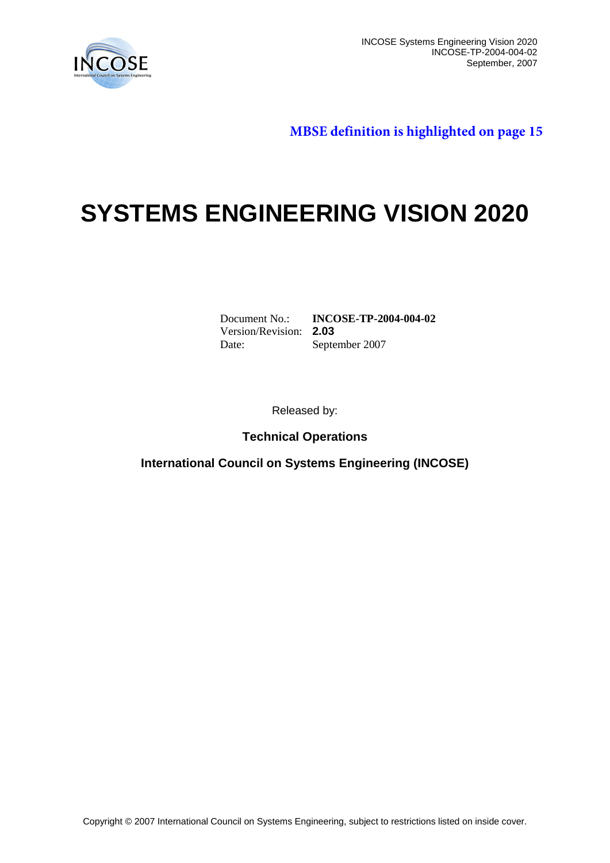

INCOSE Systems Engineering Vision 2020 INCOSE-TP-2004-004-02 September, 2007

**MBSE definition is highlighted on page 15**

# **SYSTEMS ENGINEERING VISION 2020**

Version/Revision: **2.03**

Document No.: **INCOSE-TP-2004-004-02** September 2007

Released by:

**Technical Operations**

**International Council on Systems Engineering (INCOSE)**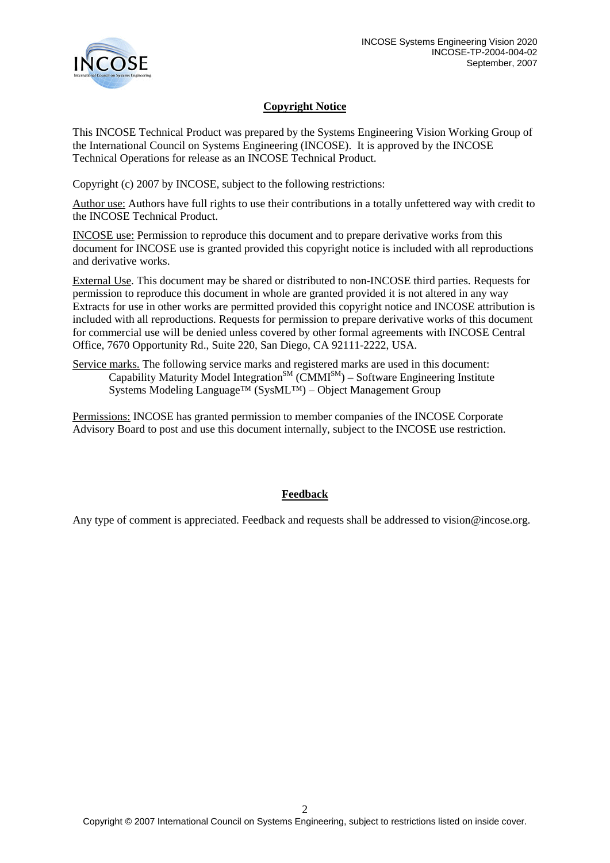

### **Copyright Notice**

This INCOSE Technical Product was prepared by the Systems Engineering Vision Working Group of the International Council on Systems Engineering (INCOSE). It is approved by the INCOSE Technical Operations for release as an INCOSE Technical Product.

Copyright (c) 2007 by INCOSE, subject to the following restrictions:

Author use: Authors have full rights to use their contributions in a totally unfettered way with credit to the INCOSE Technical Product.

INCOSE use: Permission to reproduce this document and to prepare derivative works from this document for INCOSE use is granted provided this copyright notice is included with all reproductions and derivative works.

External Use. This document may be shared or distributed to non-INCOSE third parties. Requests for permission to reproduce this document in whole are granted provided it is not altered in any way Extracts for use in other works are permitted provided this copyright notice and INCOSE attribution is included with all reproductions. Requests for permission to prepare derivative works of this document for commercial use will be denied unless covered by other formal agreements with INCOSE Central Office, 7670 Opportunity Rd., Suite 220, San Diego, CA 92111-2222, USA.

Service marks. The following service marks and registered marks are used in this document:  $\overline{Capability}$  Maturity Model Integration<sup>SM</sup> (CMMI<sup>SM</sup>) – Software Engineering Institute Systems Modeling Language™ (SysML™) – Object Management Group

Permissions: INCOSE has granted permission to member companies of the INCOSE Corporate Advisory Board to post and use this document internally, subject to the INCOSE use restriction.

### **Feedback**

Any type of comment is appreciated. Feedback and requests shall be addressed to vision@incose.org.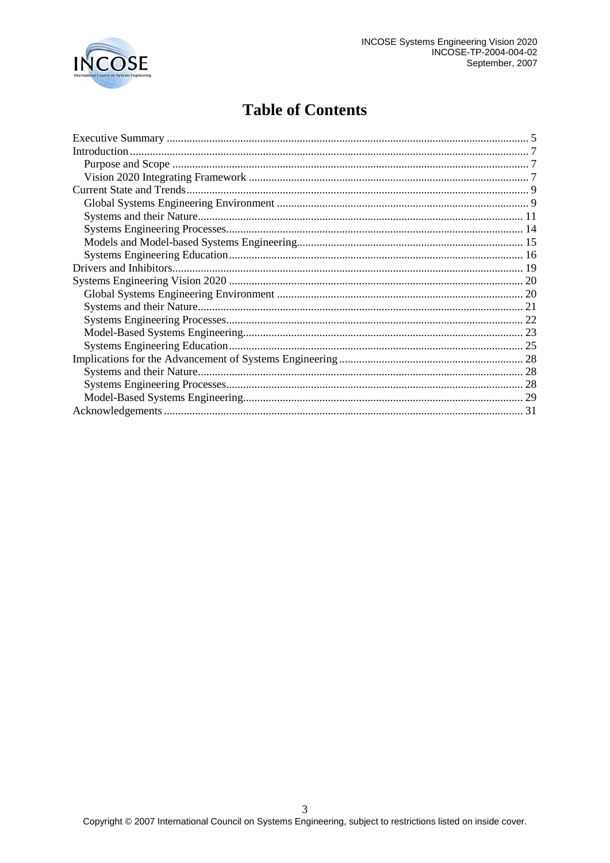

# **Table of Contents**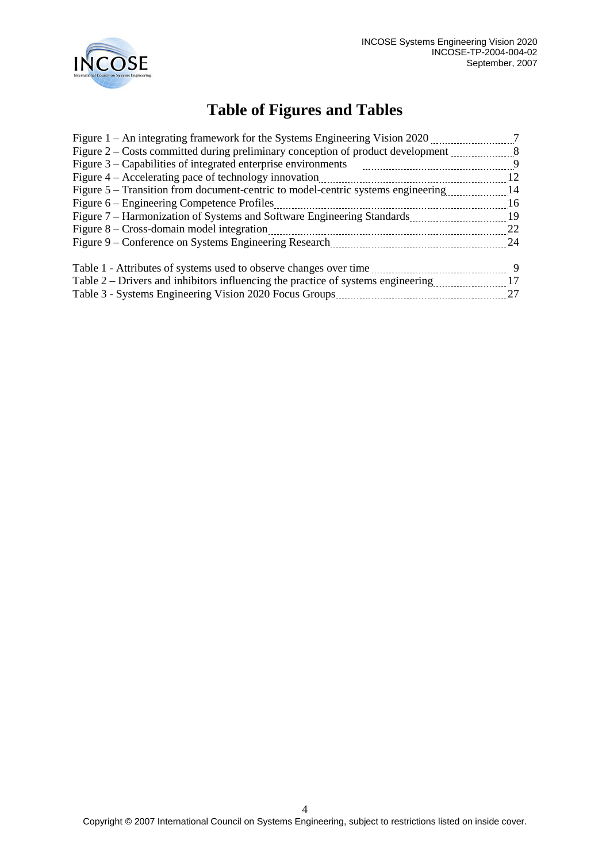

# **Table of Figures and Tables**

| Figure 1 – An integrating framework for the Systems Engineering Vision 2020      |    |
|----------------------------------------------------------------------------------|----|
| Figure 2 – Costs committed during preliminary conception of product development. | -8 |
| Figure $3$ – Capabilities of integrated enterprise environments                  | -9 |
| Figure 4 – Accelerating pace of technology innovation                            | 12 |
| Figure 5 – Transition from document-centric to model-centric systems engineering | 14 |
| Figure 6 – Engineering Competence Profiles                                       | 16 |
| Figure 7 – Harmonization of Systems and Software Engineering Standards           | 19 |
| Figure $8 - Cross$ -domain model integration                                     | 22 |
| Figure 9 – Conference on Systems Engineering Research                            | 24 |
| Table 1 - Attributes of systems used to observe changes over time                | 9  |
| Table 2 – Drivers and inhibitors influencing the practice of systems engineering | 17 |
| Table 3 - Systems Engineering Vision 2020 Focus Groups                           | 27 |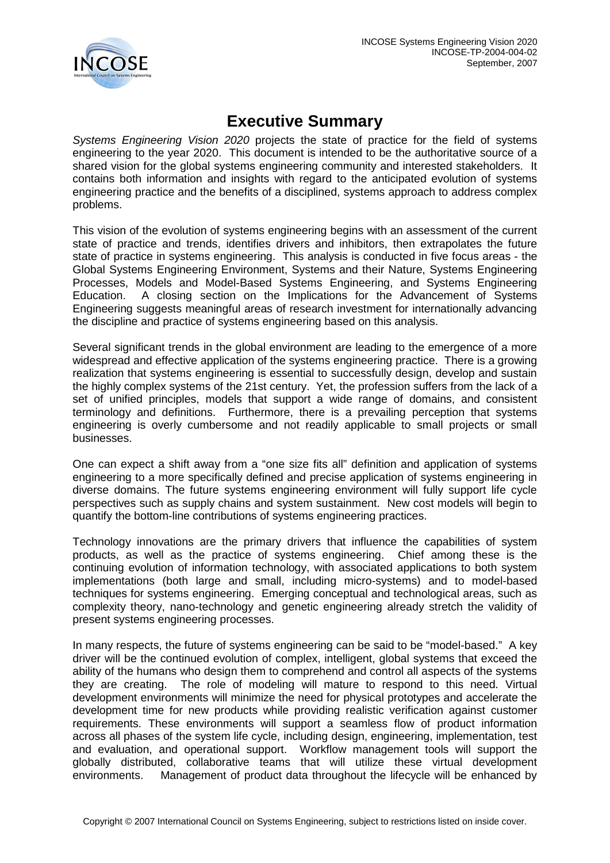

# **Executive Summary**

<span id="page-4-0"></span>*Systems Engineering Vision 2020* projects the state of practice for the field of systems engineering to the year 2020. This document is intended to be the authoritative source of a shared vision for the global systems engineering community and interested stakeholders. It contains both information and insights with regard to the anticipated evolution of systems engineering practice and the benefits of a disciplined, systems approach to address complex problems.

This vision of the evolution of systems engineering begins with an assessment of the current state of practice and trends, identifies drivers and inhibitors, then extrapolates the future state of practice in systems engineering. This analysis is conducted in five focus areas - the Global Systems Engineering Environment, Systems and their Nature, Systems Engineering Processes, Models and Model-Based Systems Engineering, and Systems Engineering Education. A closing section on the Implications for the Advancement of Systems Engineering suggests meaningful areas of research investment for internationally advancing the discipline and practice of systems engineering based on this analysis.

Several significant trends in the global environment are leading to the emergence of a more widespread and effective application of the systems engineering practice. There is a growing realization that systems engineering is essential to successfully design, develop and sustain the highly complex systems of the 21st century. Yet, the profession suffers from the lack of a set of unified principles, models that support a wide range of domains, and consistent terminology and definitions. Furthermore, there is a prevailing perception that systems engineering is overly cumbersome and not readily applicable to small projects or small businesses.

One can expect a shift away from a "one size fits all" definition and application of systems engineering to a more specifically defined and precise application of systems engineering in diverse domains. The future systems engineering environment will fully support life cycle perspectives such as supply chains and system sustainment. New cost models will begin to quantify the bottom-line contributions of systems engineering practices.

Technology innovations are the primary drivers that influence the capabilities of system products, as well as the practice of systems engineering. Chief among these is the continuing evolution of information technology, with associated applications to both system implementations (both large and small, including micro-systems) and to model-based techniques for systems engineering. Emerging conceptual and technological areas, such as complexity theory, nano-technology and genetic engineering already stretch the validity of present systems engineering processes.

In many respects, the future of systems engineering can be said to be "model-based." A key driver will be the continued evolution of complex, intelligent, global systems that exceed the ability of the humans who design them to comprehend and control all aspects of the systems they are creating. The role of modeling will mature to respond to this need. Virtual development environments will minimize the need for physical prototypes and accelerate the development time for new products while providing realistic verification against customer requirements. These environments will support a seamless flow of product information across all phases of the system life cycle, including design, engineering, implementation, test and evaluation, and operational support. Workflow management tools will support the globally distributed, collaborative teams that will utilize these virtual development environments. Management of product data throughout the lifecycle will be enhanced by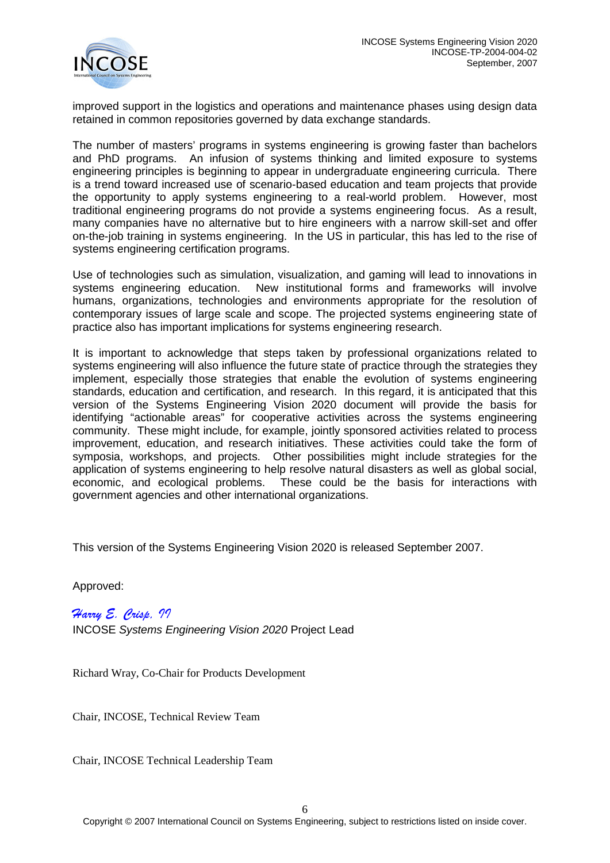

improved support in the logistics and operations and maintenance phases using design data retained in common repositories governed by data exchange standards.

The number of masters' programs in systems engineering is growing faster than bachelors and PhD programs. An infusion of systems thinking and limited exposure to systems engineering principles is beginning to appear in undergraduate engineering curricula. There is a trend toward increased use of scenario-based education and team projects that provide the opportunity to apply systems engineering to a real-world problem. However, most traditional engineering programs do not provide a systems engineering focus. As a result, many companies have no alternative but to hire engineers with a narrow skill-set and offer on-the-job training in systems engineering. In the US in particular, this has led to the rise of systems engineering certification programs.

Use of technologies such as simulation, visualization, and gaming will lead to innovations in systems engineering education. New institutional forms and frameworks will involve humans, organizations, technologies and environments appropriate for the resolution of contemporary issues of large scale and scope. The projected systems engineering state of practice also has important implications for systems engineering research.

It is important to acknowledge that steps taken by professional organizations related to systems engineering will also influence the future state of practice through the strategies they implement, especially those strategies that enable the evolution of systems engineering standards, education and certification, and research. In this regard, it is anticipated that this version of the Systems Engineering Vision 2020 document will provide the basis for identifying "actionable areas" for cooperative activities across the systems engineering community. These might include, for example, jointly sponsored activities related to process improvement, education, and research initiatives. These activities could take the form of symposia, workshops, and projects. Other possibilities might include strategies for the application of systems engineering to help resolve natural disasters as well as global social, economic, and ecological problems. These could be the basis for interactions with government agencies and other international organizations.

This version of the Systems Engineering Vision 2020 is released September 2007.

Approved:

*Harry E. Crisp, II* INCOSE *Systems Engineering Vision 2020* Project Lead

Richard Wray, Co-Chair for Products Development

Chair, INCOSE, Technical Review Team

Chair, INCOSE Technical Leadership Team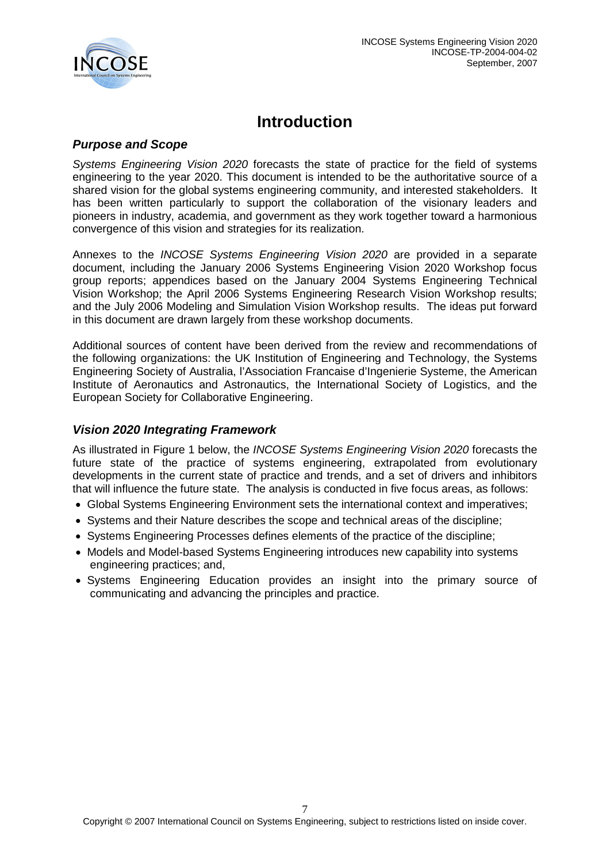

# **Introduction**

### <span id="page-6-1"></span><span id="page-6-0"></span>*Purpose and Scope*

*Systems Engineering Vision 2020* forecasts the state of practice for the field of systems engineering to the year 2020. This document is intended to be the authoritative source of a shared vision for the global systems engineering community, and interested stakeholders. It has been written particularly to support the collaboration of the visionary leaders and pioneers in industry, academia, and government as they work together toward a harmonious convergence of this vision and strategies for its realization.

Annexes to the *INCOSE Systems Engineering Vision 2020* are provided in a separate document, including the January 2006 Systems Engineering Vision 2020 Workshop focus group reports; appendices based on the January 2004 Systems Engineering Technical Vision Workshop; the April 2006 Systems Engineering Research Vision Workshop results; and the July 2006 Modeling and Simulation Vision Workshop results. The ideas put forward in this document are drawn largely from these workshop documents.

Additional sources of content have been derived from the review and recommendations of the following organizations: the UK Institution of Engineering and Technology, the Systems Engineering Society of Australia, l'Association Francaise d'Ingenierie Systeme, the American Institute of Aeronautics and Astronautics, the International Society of Logistics, and the European Society for Collaborative Engineering.

### <span id="page-6-2"></span>*Vision 2020 Integrating Framework*

As illustrated in Figure 1 below, the *INCOSE Systems Engineering Vision 2020* forecasts the future state of the practice of systems engineering, extrapolated from evolutionary developments in the current state of practice and trends, and a set of drivers and inhibitors that will influence the future state. The analysis is conducted in five focus areas, as follows:

- Global Systems Engineering Environment sets the international context and imperatives;
- Systems and their Nature describes the scope and technical areas of the discipline;
- Systems Engineering Processes defines elements of the practice of the discipline;
- Models and Model-based Systems Engineering introduces new capability into systems engineering practices; and,
- Systems Engineering Education provides an insight into the primary source of communicating and advancing the principles and practice.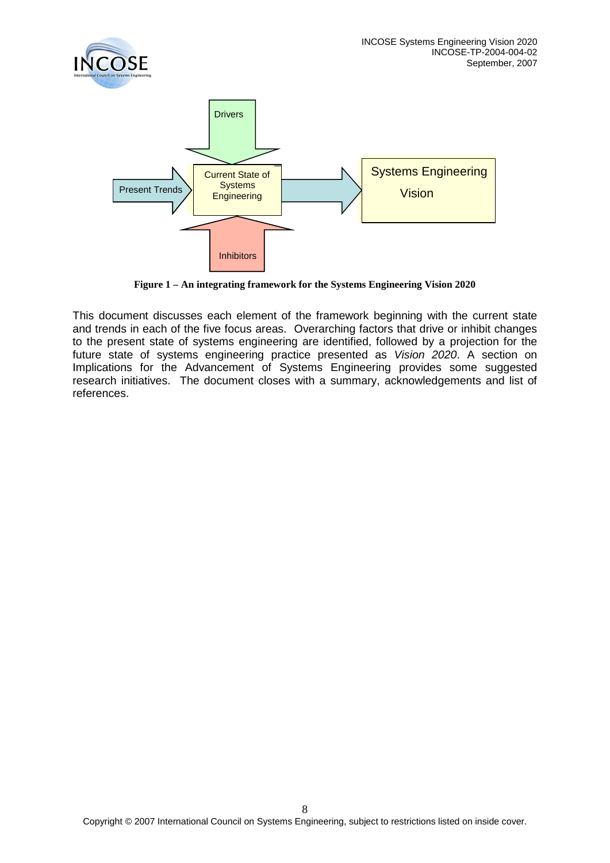

**Figure 1 – An integrating framework for the Systems Engineering Vision 2020**

This document discusses each element of the framework beginning with the current state and trends in each of the five focus areas. Overarching factors that drive or inhibit changes to the present state of systems engineering are identified, followed by a projection for the future state of systems engineering practice presented as *Vision 2020*. A section on Implications for the Advancement of Systems Engineering provides some suggested research initiatives. The document closes with a summary, acknowledgements and list of references.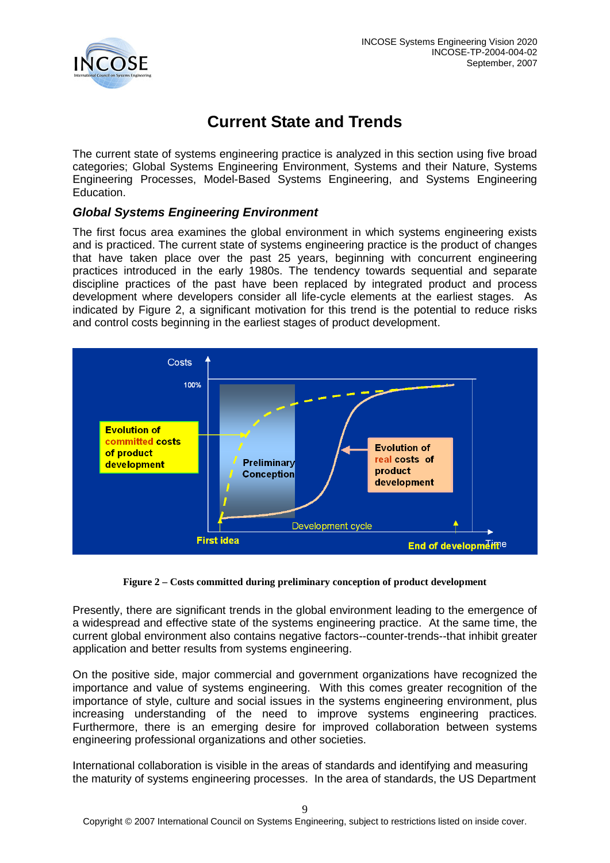

# **Current State and Trends**

<span id="page-8-0"></span>The current state of systems engineering practice is analyzed in this section using five broad categories; Global Systems Engineering Environment, Systems and their Nature, Systems Engineering Processes, Model-Based Systems Engineering, and Systems Engineering Education.

## <span id="page-8-1"></span>*Global Systems Engineering Environment*

The first focus area examines the global environment in which systems engineering exists and is practiced. The current state of systems engineering practice is the product of changes that have taken place over the past 25 years, beginning with concurrent engineering practices introduced in the early 1980s. The tendency towards sequential and separate discipline practices of the past have been replaced by integrated product and process development where developers consider all life-cycle elements at the earliest stages. As indicated by Figure 2, a significant motivation for this trend is the potential to reduce risks and control costs beginning in the earliest stages of product development.



**Figure 2 – Costs committed during preliminary conception of product development**

Presently, there are significant trends in the global environment leading to the emergence of a widespread and effective state of the systems engineering practice. At the same time, the current global environment also contains negative factors--counter-trends--that inhibit greater application and better results from systems engineering.

On the positive side, major commercial and government organizations have recognized the importance and value of systems engineering. With this comes greater recognition of the importance of style, culture and social issues in the systems engineering environment, plus increasing understanding of the need to improve systems engineering practices. Furthermore, there is an emerging desire for improved collaboration between systems engineering professional organizations and other societies.

International collaboration is visible in the areas of standards and identifying and measuring the maturity of systems engineering processes. In the area of standards, the US Department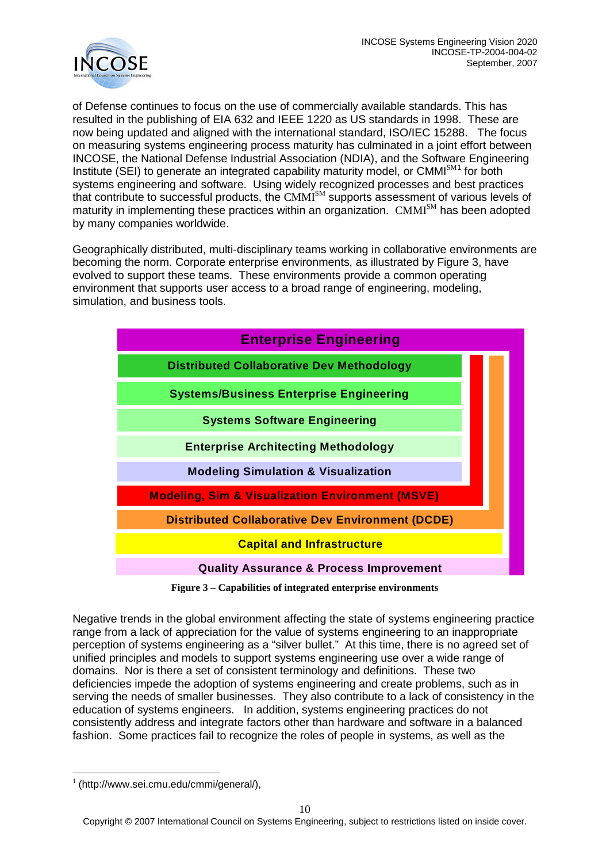

of Defense continues to focus on the use of commercially available standards. This has resulted in the publishing of EIA 632 and IEEE 1220 as US standards in 1998. These are now being updated and aligned with the international standard, ISO/IEC 15288. The focus on measuring systems engineering process maturity has culminated in a joint effort between INCOSE, the National Defense Industrial Association (NDIA), and the Software Engineering Institute (SEI) to generate an integrated capability maturity model, or CMMI<sup>SM[1](#page-9-0)</sup> for both systems engineering and software. Using widely recognized processes and best practices that contribute to successful products, the CMMI<sup>SM</sup> supports assessment of various levels of maturity in implementing these practices within an organization. CMMI<sup>SM</sup> has been adopted by many companies worldwide.

Geographically distributed, multi-disciplinary teams working in collaborative environments are becoming the norm. Corporate enterprise environments, as illustrated by Figure 3, have evolved to support these teams. These environments provide a common operating environment that supports user access to a broad range of engineering, modeling, simulation, and business tools.



**Figure 3 – Capabilities of integrated enterprise environments**

Negative trends in the global environment affecting the state of systems engineering practice range from a lack of appreciation for the value of systems engineering to an inappropriate perception of systems engineering as a "silver bullet." At this time, there is no agreed set of unified principles and models to support systems engineering use over a wide range of domains. Nor is there a set of consistent terminology and definitions. These two deficiencies impede the adoption of systems engineering and create problems, such as in serving the needs of smaller businesses. They also contribute to a lack of consistency in the education of systems engineers. In addition, systems engineering practices do not consistently address and integrate factors other than hardware and software in a balanced fashion. Some practices fail to recognize the roles of people in systems, as well as the

<span id="page-9-0"></span> $1$  (http://www.sei.cmu.edu/cmmi/general/),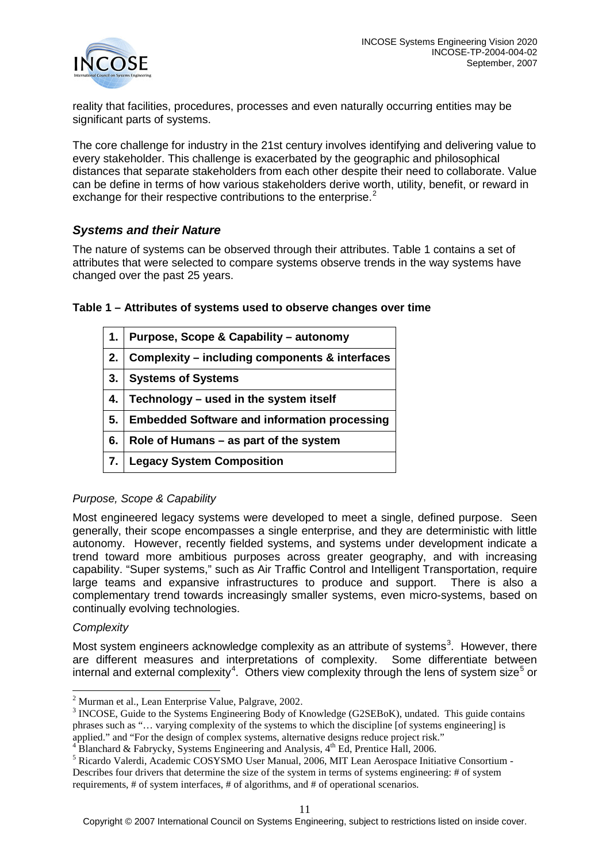

reality that facilities, procedures, processes and even naturally occurring entities may be significant parts of systems.

The core challenge for industry in the 21st century involves identifying and delivering value to every stakeholder. This challenge is exacerbated by the geographic and philosophical distances that separate stakeholders from each other despite their need to collaborate. Value can be define in terms of how various stakeholders derive worth, utility, benefit, or reward in exchange for their respective contributions to the enterprise.<sup>[2](#page-10-1)</sup>

### <span id="page-10-0"></span>*Systems and their Nature*

The nature of systems can be observed through their attributes. Table 1 contains a set of attributes that were selected to compare systems observe trends in the way systems have changed over the past 25 years.

| 1. | Purpose, Scope & Capability - autonomy              |
|----|-----------------------------------------------------|
| 2. | Complexity – including components & interfaces      |
| 3. | <b>Systems of Systems</b>                           |
| 4. | Technology – used in the system itself              |
| 5. | <b>Embedded Software and information processing</b> |
| 6. | Role of Humans – as part of the system              |
| 7. | <b>Legacy System Composition</b>                    |

#### **Table 1 – Attributes of systems used to observe changes over time**

#### *Purpose, Scope & Capability*

Most engineered legacy systems were developed to meet a single, defined purpose. Seen generally, their scope encompasses a single enterprise, and they are deterministic with little autonomy. However, recently fielded systems, and systems under development indicate a trend toward more ambitious purposes across greater geography, and with increasing capability. "Super systems," such as Air Traffic Control and Intelligent Transportation, require large teams and expansive infrastructures to produce and support. There is also a complementary trend towards increasingly smaller systems, even micro-systems, based on continually evolving technologies.

#### *Complexity*

Most system engineers acknowledge complexity as an attribute of systems<sup>[3](#page-10-2)</sup>. However, there are different measures and interpretations of complexity. Some differentiate between internal and external complexity<sup>[4](#page-10-3)</sup>. Others view complexity through the lens of system size<sup>[5](#page-10-4)</sup> or

<span id="page-10-2"></span><span id="page-10-1"></span><sup>&</sup>lt;sup>2</sup> Murman et al., Lean Enterprise Value, Palgrave, 2002.<br><sup>3</sup> INCOSE, Guide to the Systems Engineering Body of Knowledge (G2SEBoK), undated. This guide contains phrases such as "… varying complexity of the systems to which the discipline [of systems engineering] is

applied." and "For the design of complex systems, alternative designs reduce project risk."  $4^4$  Blanchard & Fabrycky, Systems Engineering and Analysis,  $4^4$  Ed, Prentice Hall, 2006.

<span id="page-10-4"></span><span id="page-10-3"></span><sup>&</sup>lt;sup>5</sup> Ricardo Valerdi, Academic COSYSMO User Manual, 2006, MIT Lean Aerospace Initiative Consortium -Describes four drivers that determine the size of the system in terms of systems engineering: # of system requirements, # of system interfaces, # of algorithms, and # of operational scenarios.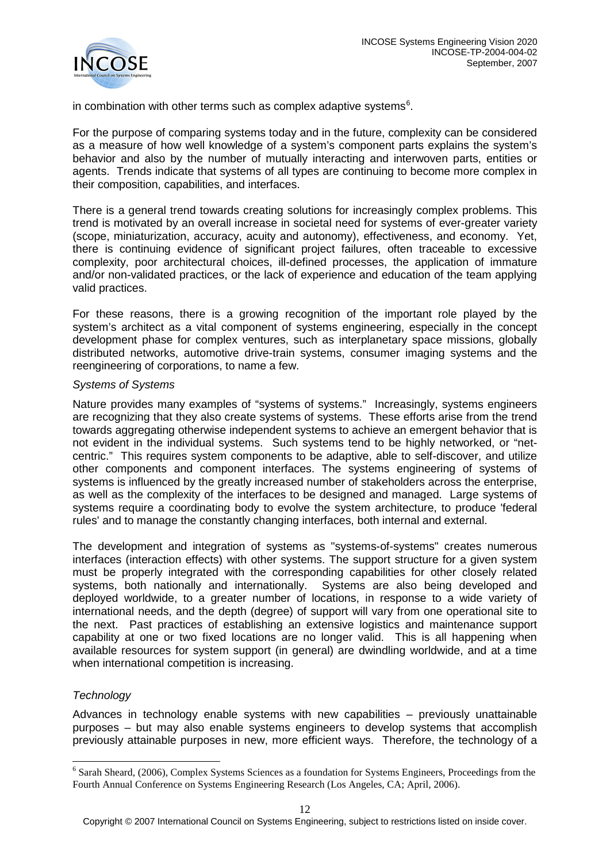

in combination with other terms such as complex adaptive systems $6$ .

For the purpose of comparing systems today and in the future, complexity can be considered as a measure of how well knowledge of a system's component parts explains the system's behavior and also by the number of mutually interacting and interwoven parts, entities or agents. Trends indicate that systems of all types are continuing to become more complex in their composition, capabilities, and interfaces.

There is a general trend towards creating solutions for increasingly complex problems. This trend is motivated by an overall increase in societal need for systems of ever-greater variety (scope, miniaturization, accuracy, acuity and autonomy), effectiveness, and economy. Yet, there is continuing evidence of significant project failures, often traceable to excessive complexity, poor architectural choices, ill-defined processes, the application of immature and/or non-validated practices, or the lack of experience and education of the team applying valid practices.

For these reasons, there is a growing recognition of the important role played by the system's architect as a vital component of systems engineering, especially in the concept development phase for complex ventures, such as interplanetary space missions, globally distributed networks, automotive drive-train systems, consumer imaging systems and the reengineering of corporations, to name a few.

#### *Systems of Systems*

Nature provides many examples of "systems of systems." Increasingly, systems engineers are recognizing that they also create systems of systems. These efforts arise from the trend towards aggregating otherwise independent systems to achieve an emergent behavior that is not evident in the individual systems. Such systems tend to be highly networked, or "netcentric." This requires system components to be adaptive, able to self-discover, and utilize other components and component interfaces. The systems engineering of systems of systems is influenced by the greatly increased number of stakeholders across the enterprise, as well as the complexity of the interfaces to be designed and managed. Large systems of systems require a coordinating body to evolve the system architecture, to produce 'federal rules' and to manage the constantly changing interfaces, both internal and external.

The development and integration of systems as "systems-of-systems" creates numerous interfaces (interaction effects) with other systems. The support structure for a given system must be properly integrated with the corresponding capabilities for other closely related systems, both nationally and internationally. Systems are also being developed and deployed worldwide, to a greater number of locations, in response to a wide variety of international needs, and the depth (degree) of support will vary from one operational site to the next. Past practices of establishing an extensive logistics and maintenance support capability at one or two fixed locations are no longer valid. This is all happening when available resources for system support (in general) are dwindling worldwide, and at a time when international competition is increasing.

#### *Technology*

Advances in technology enable systems with new capabilities – previously unattainable purposes – but may also enable systems engineers to develop systems that accomplish previously attainable purposes in new, more efficient ways. Therefore, the technology of a

<span id="page-11-0"></span><sup>&</sup>lt;sup>6</sup> Sarah Sheard, (2006), Complex Systems Sciences as a foundation for Systems Engineers, Proceedings from the Fourth Annual Conference on Systems Engineering Research (Los Angeles, CA; April, 2006).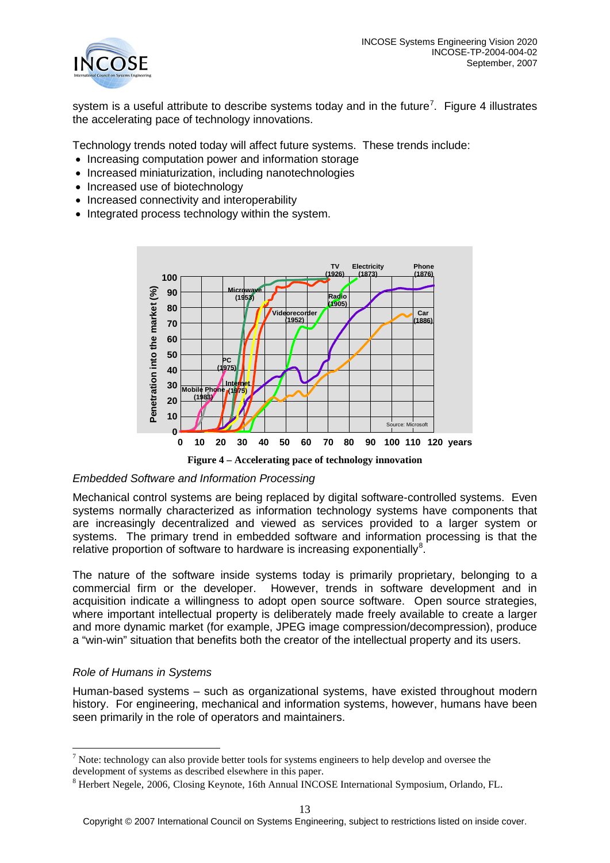

system is a useful attribute to describe systems today and in the future<sup>[7](#page-12-0)</sup>. Figure 4 illustrates the accelerating pace of technology innovations.

Technology trends noted today will affect future systems. These trends include:

- Increasing computation power and information storage
- Increased miniaturization, including nanotechnologies
- Increased use of biotechnology
- Increased connectivity and interoperability
- Integrated process technology within the system.



**Figure 4 – Accelerating pace of technology innovation**

#### *Embedded Software and Information Processing*

Mechanical control systems are being replaced by digital software-controlled systems. Even systems normally characterized as information technology systems have components that are increasingly decentralized and viewed as services provided to a larger system or systems. The primary trend in embedded software and information processing is that the relative proportion of software to hardware is increasing exponentially<sup>[8](#page-12-1)</sup>.

The nature of the software inside systems today is primarily proprietary, belonging to a commercial firm or the developer. However, trends in software development and in acquisition indicate a willingness to adopt open source software. Open source strategies, where important intellectual property is deliberately made freely available to create a larger and more dynamic market (for example, JPEG image compression/decompression), produce a "win-win" situation that benefits both the creator of the intellectual property and its users.

#### *Role of Humans in Systems*

Human-based systems – such as organizational systems, have existed throughout modern history. For engineering, mechanical and information systems, however, humans have been seen primarily in the role of operators and maintainers.

<span id="page-12-0"></span> $<sup>7</sup>$  Note: technology can also provide better tools for systems engineers to help develop and oversee the</sup> development of systems as described elsewhere in this paper.

<span id="page-12-1"></span><sup>8</sup> Herbert Negele, 2006, Closing Keynote, 16th Annual INCOSE International Symposium, Orlando, FL.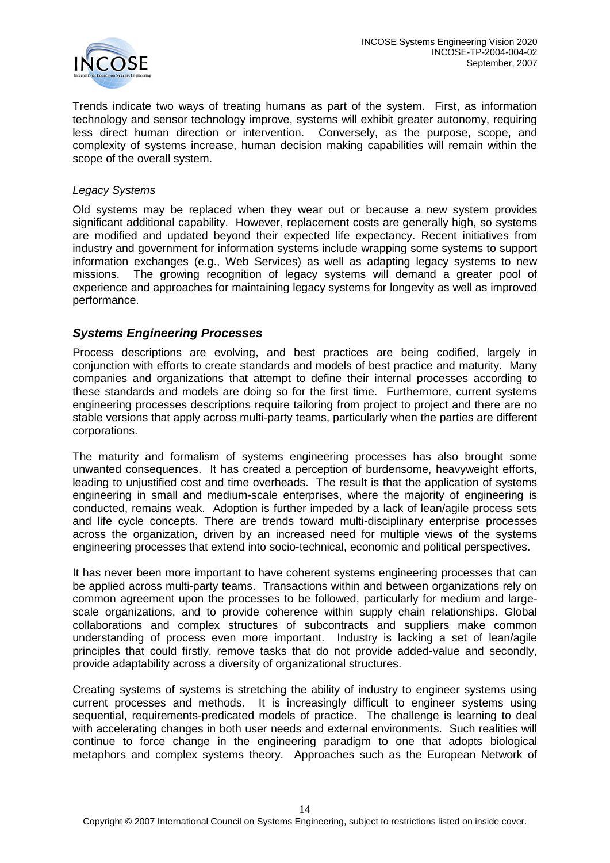

Trends indicate two ways of treating humans as part of the system. First, as information technology and sensor technology improve, systems will exhibit greater autonomy, requiring less direct human direction or intervention. Conversely, as the purpose, scope, and complexity of systems increase, human decision making capabilities will remain within the scope of the overall system.

#### *Legacy Systems*

Old systems may be replaced when they wear out or because a new system provides significant additional capability. However, replacement costs are generally high, so systems are modified and updated beyond their expected life expectancy. Recent initiatives from industry and government for information systems include wrapping some systems to support information exchanges (e.g., Web Services) as well as adapting legacy systems to new missions. The growing recognition of legacy systems will demand a greater pool of experience and approaches for maintaining legacy systems for longevity as well as improved performance.

#### <span id="page-13-0"></span>*Systems Engineering Processes*

Process descriptions are evolving, and best practices are being codified, largely in conjunction with efforts to create standards and models of best practice and maturity. Many companies and organizations that attempt to define their internal processes according to these standards and models are doing so for the first time. Furthermore, current systems engineering processes descriptions require tailoring from project to project and there are no stable versions that apply across multi-party teams, particularly when the parties are different corporations.

The maturity and formalism of systems engineering processes has also brought some unwanted consequences. It has created a perception of burdensome, heavyweight efforts, leading to unjustified cost and time overheads. The result is that the application of systems engineering in small and medium-scale enterprises, where the majority of engineering is conducted, remains weak. Adoption is further impeded by a lack of lean/agile process sets and life cycle concepts. There are trends toward multi-disciplinary enterprise processes across the organization, driven by an increased need for multiple views of the systems engineering processes that extend into socio-technical, economic and political perspectives.

It has never been more important to have coherent systems engineering processes that can be applied across multi-party teams. Transactions within and between organizations rely on common agreement upon the processes to be followed, particularly for medium and largescale organizations, and to provide coherence within supply chain relationships. Global collaborations and complex structures of subcontracts and suppliers make common understanding of process even more important. Industry is lacking a set of lean/agile principles that could firstly, remove tasks that do not provide added-value and secondly, provide adaptability across a diversity of organizational structures.

Creating systems of systems is stretching the ability of industry to engineer systems using current processes and methods. It is increasingly difficult to engineer systems using sequential, requirements-predicated models of practice. The challenge is learning to deal with accelerating changes in both user needs and external environments. Such realities will continue to force change in the engineering paradigm to one that adopts biological metaphors and complex systems theory. Approaches such as the European Network of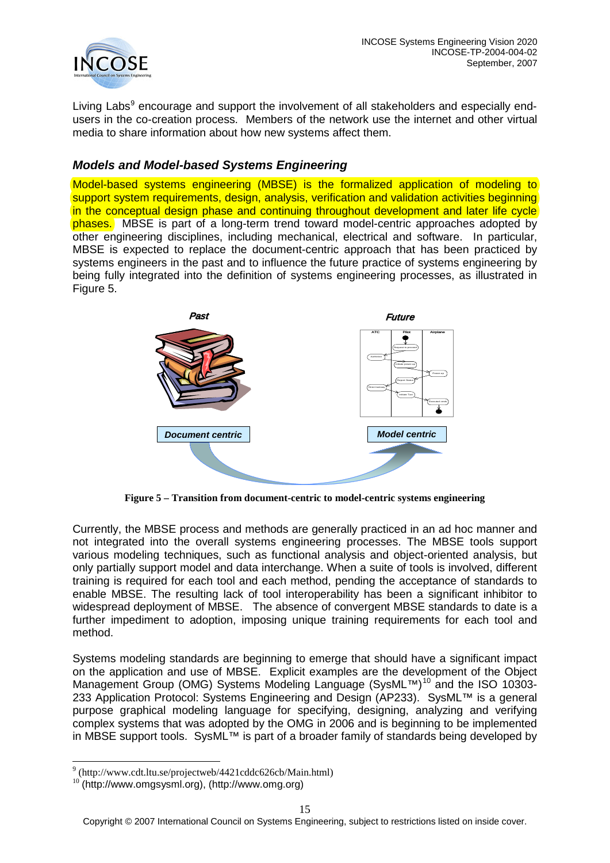

Living Labs<sup>[9](#page-14-1)</sup> encourage and support the involvement of all stakeholders and especially endusers in the co-creation process. Members of the network use the internet and other virtual media to share information about how new systems affect them.

## <span id="page-14-0"></span>*Models and Model-based Systems Engineering*

Model-based systems engineering (MBSE) is the formalized application of modeling to support system requirements, design, analysis, verification and validation activities beginning in the conceptual design phase and continuing throughout development and later life cycle phases. MBSE is part of a long-term trend toward model-centric approaches adopted by other engineering disciplines, including mechanical, electrical and software. In particular, MBSE is expected to replace the document-centric approach that has been practiced by systems engineers in the past and to influence the future practice of systems engineering by being fully integrated into the definition of systems engineering processes, as illustrated in Figure 5.



**Figure 5 – Transition from document-centric to model-centric systems engineering**

Currently, the MBSE process and methods are generally practiced in an ad hoc manner and not integrated into the overall systems engineering processes. The MBSE tools support various modeling techniques, such as functional analysis and object-oriented analysis, but only partially support model and data interchange. When a suite of tools is involved, different training is required for each tool and each method, pending the acceptance of standards to enable MBSE. The resulting lack of tool interoperability has been a significant inhibitor to widespread deployment of MBSE. The absence of convergent MBSE standards to date is a further impediment to adoption, imposing unique training requirements for each tool and method.

Systems modeling standards are beginning to emerge that should have a significant impact on the application and use of MBSE. Explicit examples are the development of the Object Management Group (OMG) Systems Modeling Language (SysML™)<sup>[10](#page-14-2)</sup> and the ISO 10303-233 Application Protocol: Systems Engineering and Design (AP233). SysML™ is a general purpose graphical modeling language for specifying, designing, analyzing and verifying complex systems that was adopted by the OMG in 2006 and is beginning to be implemented in MBSE support tools. SysML™ is part of a broader family of standards being developed by

<span id="page-14-1"></span><sup>9</sup> (http://www.cdt.ltu.se/projectweb/4421cddc626cb/Main.html)

<span id="page-14-2"></span> $10$  (http://www.omgsysml.org), (http://www.omg.org)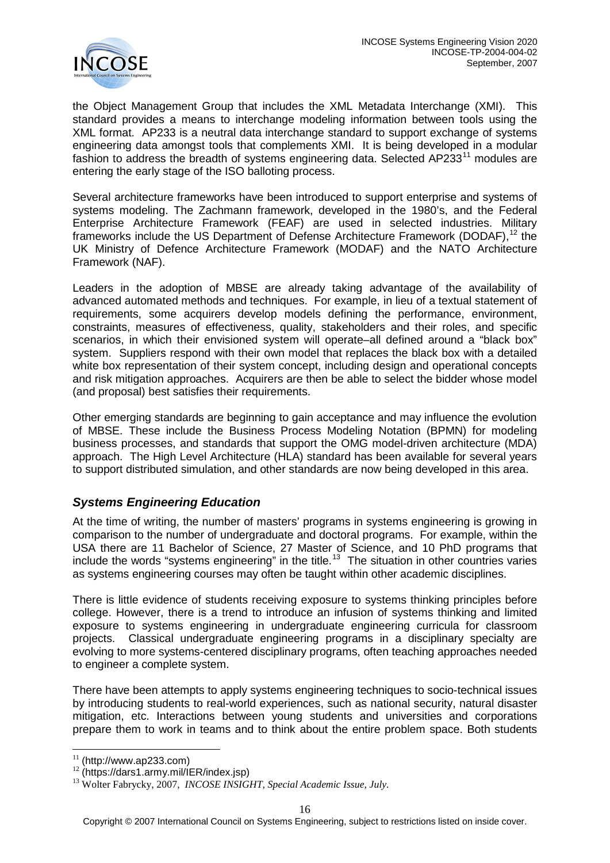

the Object Management Group that includes the XML Metadata Interchange (XMI). This standard provides a means to interchange modeling information between tools using the XML format. AP233 is a neutral data interchange standard to support exchange of systems engineering data amongst tools that complements XMI. It is being developed in a modular fashion to address the breadth of systems engineering data. Selected AP233 $^{11}$  $^{11}$  $^{11}$  modules are entering the early stage of the ISO balloting process.

Several architecture frameworks have been introduced to support enterprise and systems of systems modeling. The Zachmann framework, developed in the 1980's, and the Federal Enterprise Architecture Framework (FEAF) are used in selected industries. Military frameworks include the US Department of Defense Architecture Framework (DODAF), <sup>[12](#page-15-2)</sup> the UK Ministry of Defence Architecture Framework (MODAF) and the NATO Architecture Framework (NAF).

Leaders in the adoption of MBSE are already taking advantage of the availability of advanced automated methods and techniques. For example, in lieu of a textual statement of requirements, some acquirers develop models defining the performance, environment, constraints, measures of effectiveness, quality, stakeholders and their roles, and specific scenarios, in which their envisioned system will operate–all defined around a "black box" system. Suppliers respond with their own model that replaces the black box with a detailed white box representation of their system concept, including design and operational concepts and risk mitigation approaches. Acquirers are then be able to select the bidder whose model (and proposal) best satisfies their requirements.

Other emerging standards are beginning to gain acceptance and may influence the evolution of MBSE. These include the Business Process Modeling Notation (BPMN) for modeling business processes, and standards that support the OMG model-driven architecture (MDA) approach. The High Level Architecture (HLA) standard has been available for several years to support distributed simulation, and other standards are now being developed in this area.

# <span id="page-15-0"></span>*Systems Engineering Education*

At the time of writing, the number of masters' programs in systems engineering is growing in comparison to the number of undergraduate and doctoral programs. For example, within the USA there are 11 Bachelor of Science, 27 Master of Science, and 10 PhD programs that include the words "systems engineering" in the title.<sup>[13](#page-15-3)</sup> The situation in other countries varies as systems engineering courses may often be taught within other academic disciplines.

There is little evidence of students receiving exposure to systems thinking principles before college. However, there is a trend to introduce an infusion of systems thinking and limited exposure to systems engineering in undergraduate engineering curricula for classroom projects. Classical undergraduate engineering programs in a disciplinary specialty are evolving to more systems-centered disciplinary programs, often teaching approaches needed to engineer a complete system.

There have been attempts to apply systems engineering techniques to socio-technical issues by introducing students to real-world experiences, such as national security, natural disaster mitigation, etc. Interactions between young students and universities and corporations prepare them to work in teams and to think about the entire problem space. Both students

<span id="page-15-3"></span><span id="page-15-2"></span>

<span id="page-15-1"></span><sup>&</sup>lt;sup>11</sup> (http://www.ap233.com)<br><sup>12</sup> (https://dars1.army.mil/IER/index.jsp)<br><sup>13</sup> Wolter Fabrycky, 2007, *INCOSE INSIGHT, Special Academic Issue, July.*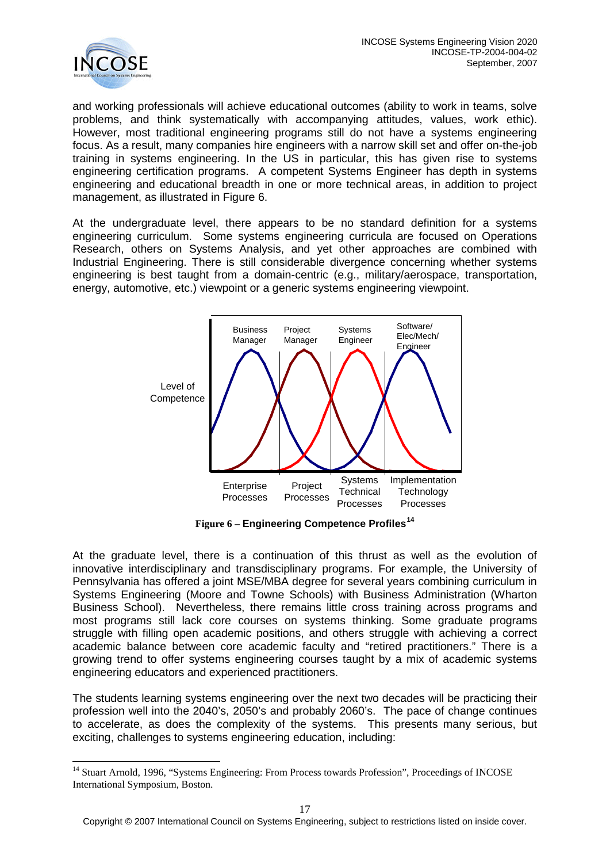

and working professionals will achieve educational outcomes (ability to work in teams, solve problems, and think systematically with accompanying attitudes, values, work ethic). However, most traditional engineering programs still do not have a systems engineering focus. As a result, many companies hire engineers with a narrow skill set and offer on-the-job training in systems engineering. In the US in particular, this has given rise to systems engineering certification programs. A competent Systems Engineer has depth in systems engineering and educational breadth in one or more technical areas, in addition to project management, as illustrated in Figure 6.

At the undergraduate level, there appears to be no standard definition for a systems engineering curriculum. Some systems engineering curricula are focused on Operations Research, others on Systems Analysis, and yet other approaches are combined with Industrial Engineering. There is still considerable divergence concerning whether systems engineering is best taught from a domain-centric (e.g., military/aerospace, transportation, energy, automotive, etc.) viewpoint or a generic systems engineering viewpoint.



**Figure 6 – Engineering Competence Profiles[14](#page-16-0)** 

At the graduate level, there is a continuation of this thrust as well as the evolution of innovative interdisciplinary and transdisciplinary programs. For example, the University of Pennsylvania has offered a joint MSE/MBA degree for several years combining curriculum in Systems Engineering (Moore and Towne Schools) with Business Administration (Wharton Business School). Nevertheless, there remains little cross training across programs and most programs still lack core courses on systems thinking. Some graduate programs struggle with filling open academic positions, and others struggle with achieving a correct academic balance between core academic faculty and "retired practitioners." There is a growing trend to offer systems engineering courses taught by a mix of academic systems engineering educators and experienced practitioners.

The students learning systems engineering over the next two decades will be practicing their profession well into the 2040's, 2050's and probably 2060's. The pace of change continues to accelerate, as does the complexity of the systems. This presents many serious, but exciting, challenges to systems engineering education, including:

<span id="page-16-0"></span><sup>&</sup>lt;sup>14</sup> Stuart Arnold, 1996, "Systems Engineering: From Process towards Profession", Proceedings of INCOSE International Symposium, Boston.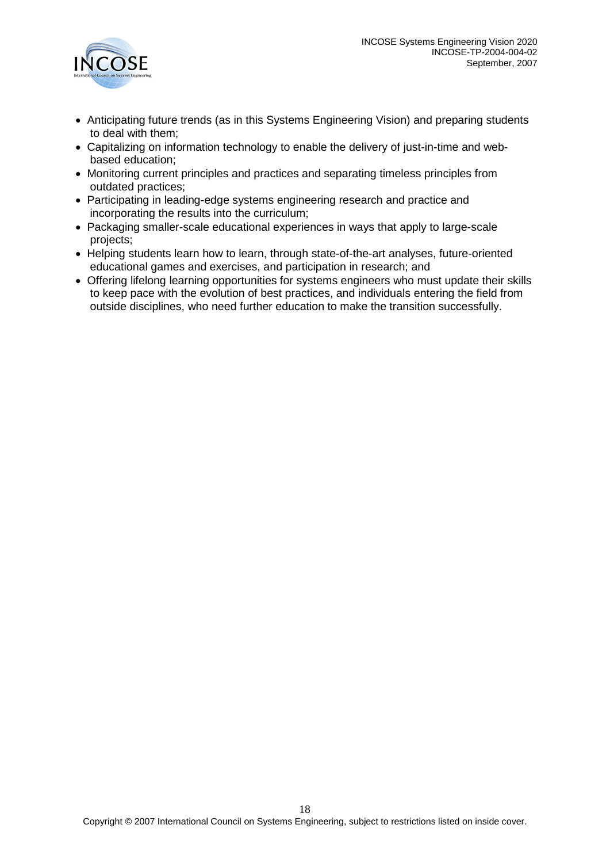

- Anticipating future trends (as in this Systems Engineering Vision) and preparing students to deal with them;
- Capitalizing on information technology to enable the delivery of just-in-time and webbased education;
- Monitoring current principles and practices and separating timeless principles from outdated practices;
- Participating in leading-edge systems engineering research and practice and incorporating the results into the curriculum;
- Packaging smaller-scale educational experiences in ways that apply to large-scale projects;
- Helping students learn how to learn, through state-of-the-art analyses, future-oriented educational games and exercises, and participation in research; and
- Offering lifelong learning opportunities for systems engineers who must update their skills to keep pace with the evolution of best practices, and individuals entering the field from outside disciplines, who need further education to make the transition successfully.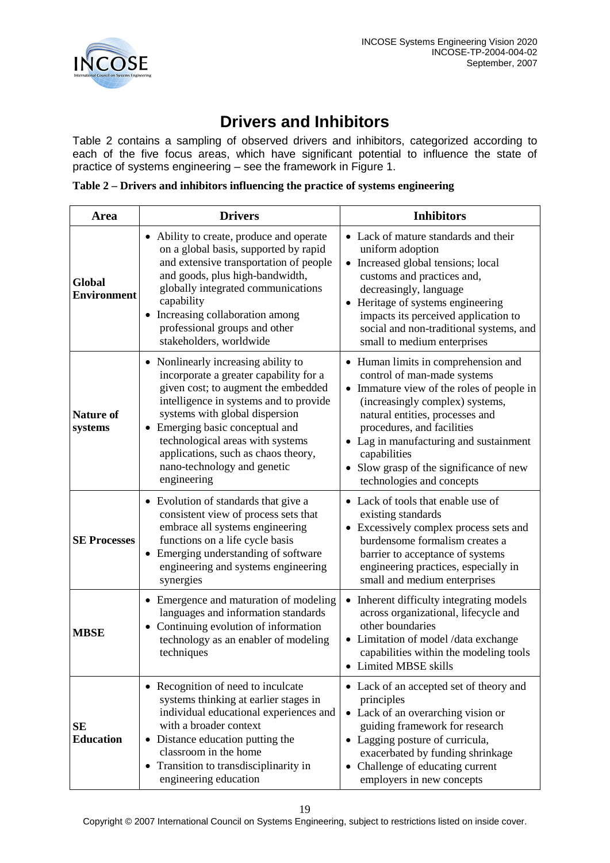

# **Drivers and Inhibitors**

<span id="page-18-0"></span>Table 2 contains a sampling of observed drivers and inhibitors, categorized according to each of the five focus areas, which have significant potential to influence the state of practice of systems engineering – see the framework in Figure 1.

**Table 2 – Drivers and inhibitors influencing the practice of systems engineering** 

| Area                         | <b>Drivers</b>                                                                                                                                                                                                                                                                                                                                                          | <b>Inhibitors</b>                                                                                                                                                                                                                                                                                                                                   |  |
|------------------------------|-------------------------------------------------------------------------------------------------------------------------------------------------------------------------------------------------------------------------------------------------------------------------------------------------------------------------------------------------------------------------|-----------------------------------------------------------------------------------------------------------------------------------------------------------------------------------------------------------------------------------------------------------------------------------------------------------------------------------------------------|--|
| Global<br><b>Environment</b> | Ability to create, produce and operate<br>$\bullet$<br>on a global basis, supported by rapid<br>and extensive transportation of people<br>and goods, plus high-bandwidth,<br>globally integrated communications<br>capability<br>Increasing collaboration among<br>$\bullet$<br>professional groups and other<br>stakeholders, worldwide                                | • Lack of mature standards and their<br>uniform adoption<br>• Increased global tensions; local<br>customs and practices and,<br>decreasingly, language<br>• Heritage of systems engineering<br>impacts its perceived application to<br>social and non-traditional systems, and<br>small to medium enterprises                                       |  |
| <b>Nature of</b><br>systems  | • Nonlinearly increasing ability to<br>incorporate a greater capability for a<br>given cost; to augment the embedded<br>intelligence in systems and to provide<br>systems with global dispersion<br>Emerging basic conceptual and<br>$\bullet$<br>technological areas with systems<br>applications, such as chaos theory,<br>nano-technology and genetic<br>engineering | • Human limits in comprehension and<br>control of man-made systems<br>• Immature view of the roles of people in<br>(increasingly complex) systems,<br>natural entities, processes and<br>procedures, and facilities<br>• Lag in manufacturing and sustainment<br>capabilities<br>Slow grasp of the significance of new<br>technologies and concepts |  |
| <b>SE Processes</b>          | • Evolution of standards that give a<br>consistent view of process sets that<br>embrace all systems engineering<br>functions on a life cycle basis<br>Emerging understanding of software<br>$\bullet$<br>engineering and systems engineering<br>synergies                                                                                                               | • Lack of tools that enable use of<br>existing standards<br>• Excessively complex process sets and<br>burdensome formalism creates a<br>barrier to acceptance of systems<br>engineering practices, especially in<br>small and medium enterprises                                                                                                    |  |
| <b>MBSE</b>                  | • Emergence and maturation of modeling<br>languages and information standards<br>Continuing evolution of information<br>technology as an enabler of modeling<br>techniques                                                                                                                                                                                              | Inherent difficulty integrating models<br>across organizational, lifecycle and<br>other boundaries<br>• Limitation of model /data exchange<br>capabilities within the modeling tools<br>• Limited MBSE skills                                                                                                                                       |  |
| SЕ<br><b>Education</b>       | • Recognition of need to inculcate<br>systems thinking at earlier stages in<br>individual educational experiences and<br>with a broader context<br>• Distance education putting the<br>classroom in the home<br>Transition to transdisciplinarity in<br>engineering education                                                                                           | • Lack of an accepted set of theory and<br>principles<br>• Lack of an overarching vision or<br>guiding framework for research<br>• Lagging posture of curricula,<br>exacerbated by funding shrinkage<br>• Challenge of educating current<br>employers in new concepts                                                                               |  |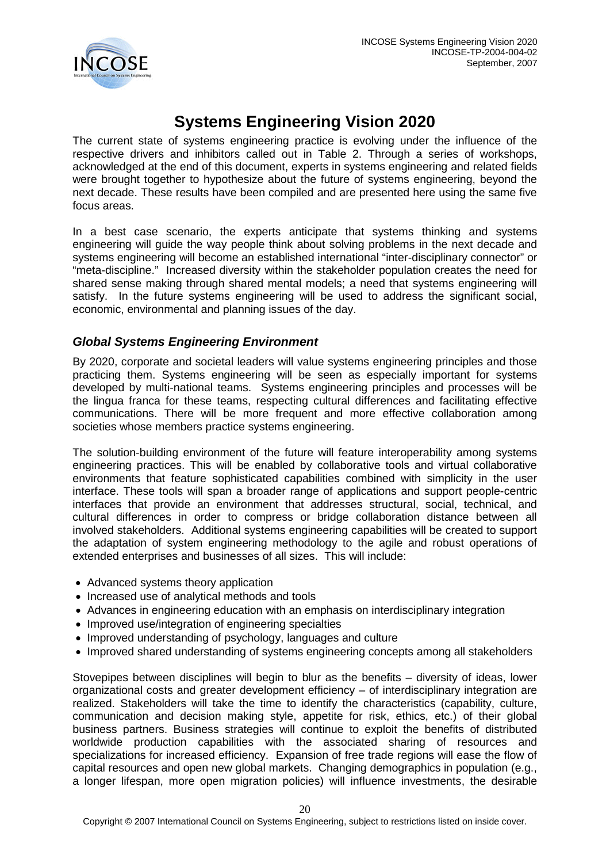

# **Systems Engineering Vision 2020**

<span id="page-19-0"></span>The current state of systems engineering practice is evolving under the influence of the respective drivers and inhibitors called out in Table 2. Through a series of workshops, acknowledged at the end of this document, experts in systems engineering and related fields were brought together to hypothesize about the future of systems engineering, beyond the next decade. These results have been compiled and are presented here using the same five focus areas.

In a best case scenario, the experts anticipate that systems thinking and systems engineering will guide the way people think about solving problems in the next decade and systems engineering will become an established international "inter-disciplinary connector" or "meta-discipline." Increased diversity within the stakeholder population creates the need for shared sense making through shared mental models; a need that systems engineering will satisfy. In the future systems engineering will be used to address the significant social, economic, environmental and planning issues of the day.

# <span id="page-19-1"></span>*Global Systems Engineering Environment*

By 2020, corporate and societal leaders will value systems engineering principles and those practicing them. Systems engineering will be seen as especially important for systems developed by multi-national teams. Systems engineering principles and processes will be the lingua franca for these teams, respecting cultural differences and facilitating effective communications. There will be more frequent and more effective collaboration among societies whose members practice systems engineering.

The solution-building environment of the future will feature interoperability among systems engineering practices. This will be enabled by collaborative tools and virtual collaborative environments that feature sophisticated capabilities combined with simplicity in the user interface. These tools will span a broader range of applications and support people-centric interfaces that provide an environment that addresses structural, social, technical, and cultural differences in order to compress or bridge collaboration distance between all involved stakeholders. Additional systems engineering capabilities will be created to support the adaptation of system engineering methodology to the agile and robust operations of extended enterprises and businesses of all sizes. This will include:

- Advanced systems theory application
- Increased use of analytical methods and tools
- Advances in engineering education with an emphasis on interdisciplinary integration
- Improved use/integration of engineering specialties
- Improved understanding of psychology, languages and culture
- Improved shared understanding of systems engineering concepts among all stakeholders

Stovepipes between disciplines will begin to blur as the benefits – diversity of ideas, lower organizational costs and greater development efficiency – of interdisciplinary integration are realized. Stakeholders will take the time to identify the characteristics (capability, culture, communication and decision making style, appetite for risk, ethics, etc.) of their global business partners. Business strategies will continue to exploit the benefits of distributed worldwide production capabilities with the associated sharing of resources and specializations for increased efficiency. Expansion of free trade regions will ease the flow of capital resources and open new global markets. Changing demographics in population (e.g., a longer lifespan, more open migration policies) will influence investments, the desirable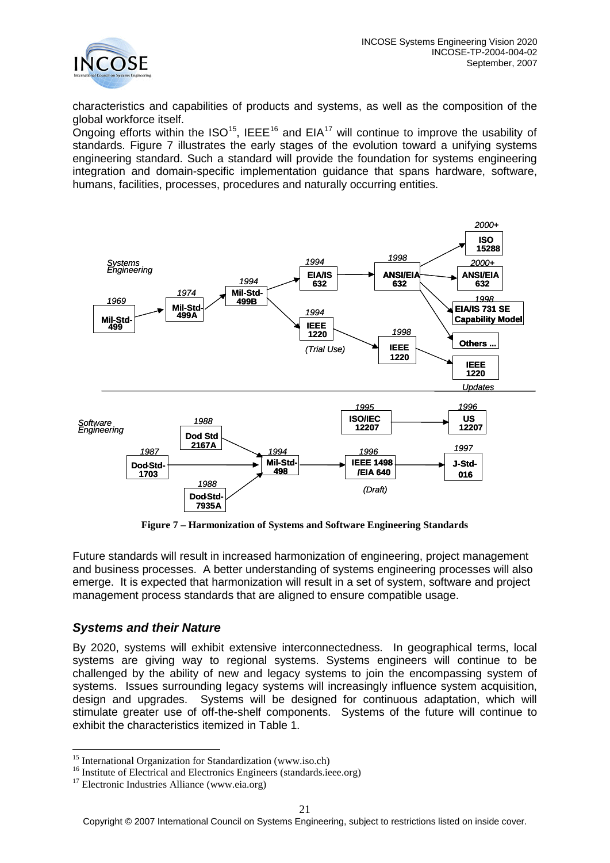

characteristics and capabilities of products and systems, as well as the composition of the global workforce itself.

Ongoing efforts within the ISO<sup>15</sup>, IEEE<sup>[16](#page-20-2)</sup> and EIA<sup>[17](#page-20-3)</sup> will continue to improve the usability of standards. Figure 7 illustrates the early stages of the evolution toward a unifying systems engineering standard. Such a standard will provide the foundation for systems engineering integration and domain-specific implementation guidance that spans hardware, software, humans, facilities, processes, procedures and naturally occurring entities.



**Figure 7 – Harmonization of Systems and Software Engineering Standards**

Future standards will result in increased harmonization of engineering, project management and business processes. A better understanding of systems engineering processes will also emerge. It is expected that harmonization will result in a set of system, software and project management process standards that are aligned to ensure compatible usage.

### <span id="page-20-0"></span>*Systems and their Nature*

By 2020, systems will exhibit extensive interconnectedness. In geographical terms, local systems are giving way to regional systems. Systems engineers will continue to be challenged by the ability of new and legacy systems to join the encompassing system of systems. Issues surrounding legacy systems will increasingly influence system acquisition, design and upgrades. Systems will be designed for continuous adaptation, which will stimulate greater use of off-the-shelf components. Systems of the future will continue to exhibit the characteristics itemized in Table 1.

<span id="page-20-2"></span><span id="page-20-1"></span><sup>&</sup>lt;sup>15</sup> Institute of Electrical and Electronics Engineers (standards.ieee.org) <sup>17</sup> Electronic Industries Alliance (www.eia.org)

<span id="page-20-3"></span>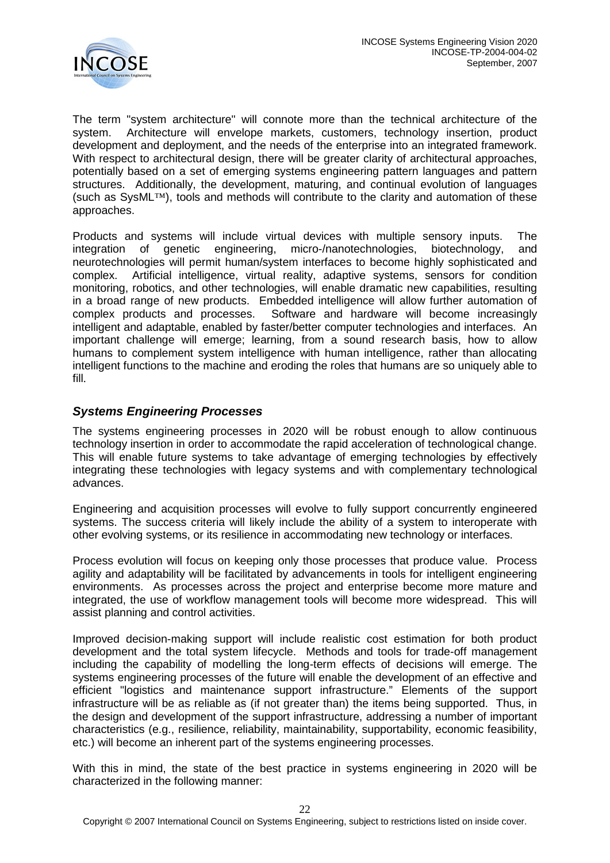

The term "system architecture" will connote more than the technical architecture of the system. Architecture will envelope markets, customers, technology insertion, product development and deployment, and the needs of the enterprise into an integrated framework. With respect to architectural design, there will be greater clarity of architectural approaches, potentially based on a set of emerging systems engineering pattern languages and pattern structures. Additionally, the development, maturing, and continual evolution of languages (such as SysML™), tools and methods will contribute to the clarity and automation of these approaches.

Products and systems will include virtual devices with multiple sensory inputs. The integration of genetic engineering, micro-/nanotechnologies, biotechnology, and neurotechnologies will permit human/system interfaces to become highly sophisticated and complex. Artificial intelligence, virtual reality, adaptive systems, sensors for condition monitoring, robotics, and other technologies, will enable dramatic new capabilities, resulting in a broad range of new products. Embedded intelligence will allow further automation of complex products and processes. Software and hardware will become increasingly intelligent and adaptable, enabled by faster/better computer technologies and interfaces. An important challenge will emerge; learning, from a sound research basis, how to allow humans to complement system intelligence with human intelligence, rather than allocating intelligent functions to the machine and eroding the roles that humans are so uniquely able to fill.

### <span id="page-21-0"></span>*Systems Engineering Processes*

The systems engineering processes in 2020 will be robust enough to allow continuous technology insertion in order to accommodate the rapid acceleration of technological change. This will enable future systems to take advantage of emerging technologies by effectively integrating these technologies with legacy systems and with complementary technological advances.

Engineering and acquisition processes will evolve to fully support concurrently engineered systems. The success criteria will likely include the ability of a system to interoperate with other evolving systems, or its resilience in accommodating new technology or interfaces.

Process evolution will focus on keeping only those processes that produce value. Process agility and adaptability will be facilitated by advancements in tools for intelligent engineering environments. As processes across the project and enterprise become more mature and integrated, the use of workflow management tools will become more widespread. This will assist planning and control activities.

Improved decision-making support will include realistic cost estimation for both product development and the total system lifecycle. Methods and tools for trade-off management including the capability of modelling the long-term effects of decisions will emerge. The systems engineering processes of the future will enable the development of an effective and efficient "logistics and maintenance support infrastructure." Elements of the support infrastructure will be as reliable as (if not greater than) the items being supported. Thus, in the design and development of the support infrastructure, addressing a number of important characteristics (e.g., resilience, reliability, maintainability, supportability, economic feasibility, etc.) will become an inherent part of the systems engineering processes.

With this in mind, the state of the best practice in systems engineering in 2020 will be characterized in the following manner: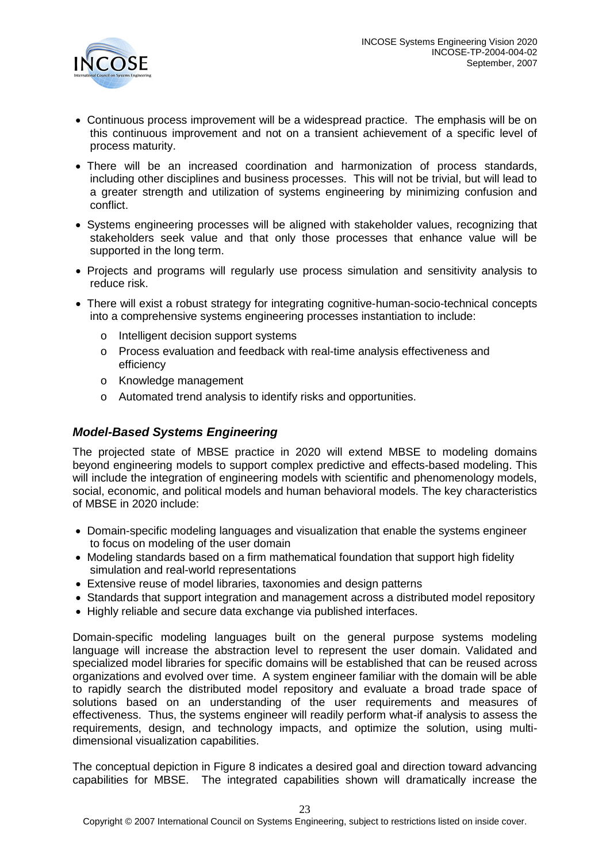

- Continuous process improvement will be a widespread practice. The emphasis will be on this continuous improvement and not on a transient achievement of a specific level of process maturity.
- There will be an increased coordination and harmonization of process standards, including other disciplines and business processes. This will not be trivial, but will lead to a greater strength and utilization of systems engineering by minimizing confusion and conflict.
- Systems engineering processes will be aligned with stakeholder values, recognizing that stakeholders seek value and that only those processes that enhance value will be supported in the long term.
- Projects and programs will regularly use process simulation and sensitivity analysis to reduce risk.
- There will exist a robust strategy for integrating cognitive-human-socio-technical concepts into a comprehensive systems engineering processes instantiation to include:
	- o Intelligent decision support systems
	- o Process evaluation and feedback with real-time analysis effectiveness and efficiency
	- o Knowledge management
	- o Automated trend analysis to identify risks and opportunities.

### <span id="page-22-0"></span>*Model-Based Systems Engineering*

The projected state of MBSE practice in 2020 will extend MBSE to modeling domains beyond engineering models to support complex predictive and effects-based modeling. This will include the integration of engineering models with scientific and phenomenology models, social, economic, and political models and human behavioral models. The key characteristics of MBSE in 2020 include:

- Domain-specific modeling languages and visualization that enable the systems engineer to focus on modeling of the user domain
- Modeling standards based on a firm mathematical foundation that support high fidelity simulation and real-world representations
- Extensive reuse of model libraries, taxonomies and design patterns
- Standards that support integration and management across a distributed model repository
- Highly reliable and secure data exchange via published interfaces.

Domain-specific modeling languages built on the general purpose systems modeling language will increase the abstraction level to represent the user domain. Validated and specialized model libraries for specific domains will be established that can be reused across organizations and evolved over time. A system engineer familiar with the domain will be able to rapidly search the distributed model repository and evaluate a broad trade space of solutions based on an understanding of the user requirements and measures of effectiveness. Thus, the systems engineer will readily perform what-if analysis to assess the requirements, design, and technology impacts, and optimize the solution, using multidimensional visualization capabilities.

The conceptual depiction in Figure 8 indicates a desired goal and direction toward advancing capabilities for MBSE. The integrated capabilities shown will dramatically increase the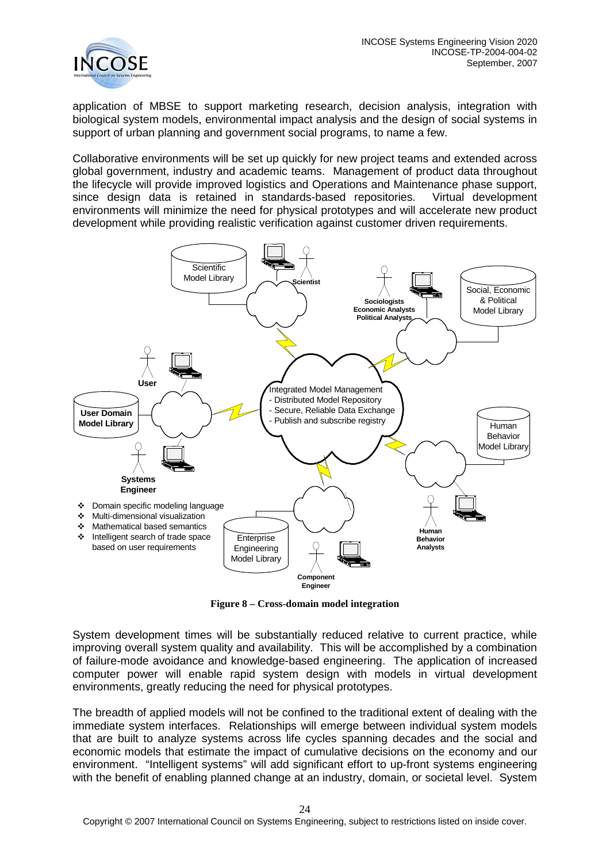

application of MBSE to support marketing research, decision analysis, integration with biological system models, environmental impact analysis and the design of social systems in support of urban planning and government social programs, to name a few.

Collaborative environments will be set up quickly for new project teams and extended across global government, industry and academic teams. Management of product data throughout the lifecycle will provide improved logistics and Operations and Maintenance phase support, since design data is retained in standards-based repositories. Virtual development environments will minimize the need for physical prototypes and will accelerate new product development while providing realistic verification against customer driven requirements.



**Figure 8 – Cross-domain model integration**

System development times will be substantially reduced relative to current practice, while improving overall system quality and availability. This will be accomplished by a combination of failure-mode avoidance and knowledge-based engineering. The application of increased computer power will enable rapid system design with models in virtual development environments, greatly reducing the need for physical prototypes.

The breadth of applied models will not be confined to the traditional extent of dealing with the immediate system interfaces. Relationships will emerge between individual system models that are built to analyze systems across life cycles spanning decades and the social and economic models that estimate the impact of cumulative decisions on the economy and our environment. "Intelligent systems" will add significant effort to up-front systems engineering with the benefit of enabling planned change at an industry, domain, or societal level. System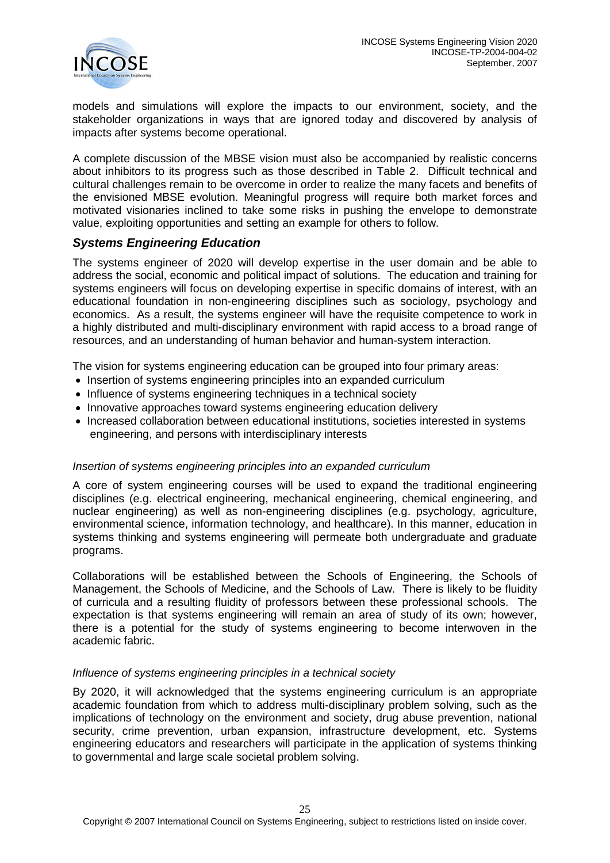

models and simulations will explore the impacts to our environment, society, and the stakeholder organizations in ways that are ignored today and discovered by analysis of impacts after systems become operational.

A complete discussion of the MBSE vision must also be accompanied by realistic concerns about inhibitors to its progress such as those described in Table 2. Difficult technical and cultural challenges remain to be overcome in order to realize the many facets and benefits of the envisioned MBSE evolution. Meaningful progress will require both market forces and motivated visionaries inclined to take some risks in pushing the envelope to demonstrate value, exploiting opportunities and setting an example for others to follow.

### <span id="page-24-0"></span>*Systems Engineering Education*

The systems engineer of 2020 will develop expertise in the user domain and be able to address the social, economic and political impact of solutions. The education and training for systems engineers will focus on developing expertise in specific domains of interest, with an educational foundation in non-engineering disciplines such as sociology, psychology and economics. As a result, the systems engineer will have the requisite competence to work in a highly distributed and multi-disciplinary environment with rapid access to a broad range of resources, and an understanding of human behavior and human-system interaction.

The vision for systems engineering education can be grouped into four primary areas:

- Insertion of systems engineering principles into an expanded curriculum
- Influence of systems engineering techniques in a technical society
- Innovative approaches toward systems engineering education delivery
- Increased collaboration between educational institutions, societies interested in systems engineering, and persons with interdisciplinary interests

#### *Insertion of systems engineering principles into an expanded curriculum*

A core of system engineering courses will be used to expand the traditional engineering disciplines (e.g. electrical engineering, mechanical engineering, chemical engineering, and nuclear engineering) as well as non-engineering disciplines (e.g. psychology, agriculture, environmental science, information technology, and healthcare). In this manner, education in systems thinking and systems engineering will permeate both undergraduate and graduate programs.

Collaborations will be established between the Schools of Engineering, the Schools of Management, the Schools of Medicine, and the Schools of Law. There is likely to be fluidity of curricula and a resulting fluidity of professors between these professional schools. The expectation is that systems engineering will remain an area of study of its own; however, there is a potential for the study of systems engineering to become interwoven in the academic fabric.

#### *Influence of systems engineering principles in a technical society*

By 2020, it will acknowledged that the systems engineering curriculum is an appropriate academic foundation from which to address multi-disciplinary problem solving, such as the implications of technology on the environment and society, drug abuse prevention, national security, crime prevention, urban expansion, infrastructure development, etc. Systems engineering educators and researchers will participate in the application of systems thinking to governmental and large scale societal problem solving.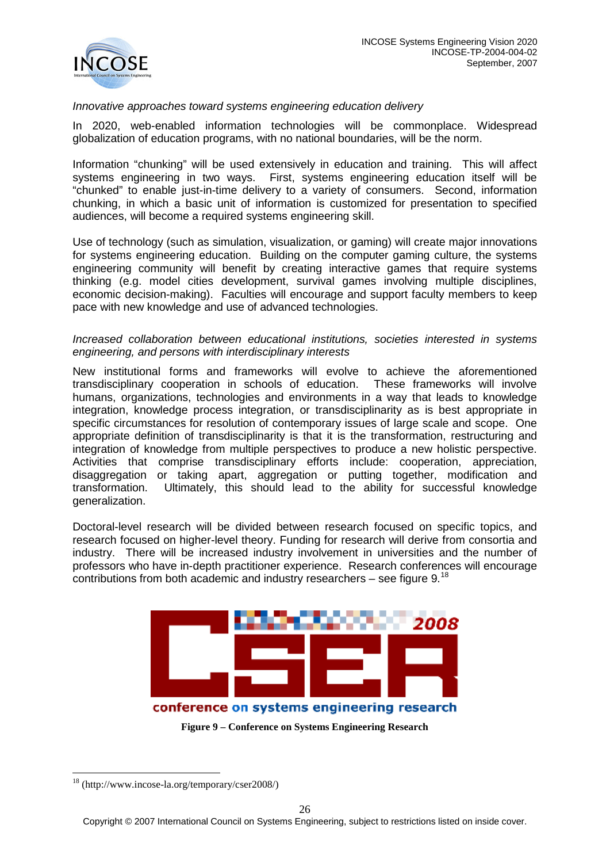

#### *Innovative approaches toward systems engineering education delivery*

In 2020, web-enabled information technologies will be commonplace. Widespread globalization of education programs, with no national boundaries, will be the norm.

Information "chunking" will be used extensively in education and training. This will affect systems engineering in two ways. First, systems engineering education itself will be "chunked" to enable just-in-time delivery to a variety of consumers. Second, information chunking, in which a basic unit of information is customized for presentation to specified audiences, will become a required systems engineering skill.

Use of technology (such as simulation, visualization, or gaming) will create major innovations for systems engineering education. Building on the computer gaming culture, the systems engineering community will benefit by creating interactive games that require systems thinking (e.g. model cities development, survival games involving multiple disciplines, economic decision-making). Faculties will encourage and support faculty members to keep pace with new knowledge and use of advanced technologies.

#### *Increased collaboration between educational institutions, societies interested in systems engineering, and persons with interdisciplinary interests*

New institutional forms and frameworks will evolve to achieve the aforementioned transdisciplinary cooperation in schools of education. These frameworks will involve humans, organizations, technologies and environments in a way that leads to knowledge integration, knowledge process integration, or transdisciplinarity as is best appropriate in specific circumstances for resolution of contemporary issues of large scale and scope. One appropriate definition of transdisciplinarity is that it is the transformation, restructuring and integration of knowledge from multiple perspectives to produce a new holistic perspective. Activities that comprise transdisciplinary efforts include: cooperation, appreciation, disaggregation or taking apart, aggregation or putting together, modification and transformation. Ultimately, this should lead to the ability for successful knowledge generalization.

Doctoral-level research will be divided between research focused on specific topics, and research focused on higher-level theory. Funding for research will derive from consortia and industry. There will be increased industry involvement in universities and the number of professors who have in-depth practitioner experience. Research conferences will encourage contributions from both academic and industry researchers – see figure  $9^{18}$  $9^{18}$  $9^{18}$ 



**Figure 9 – Conference on Systems Engineering Research**

<span id="page-25-0"></span> <sup>18</sup> (http://www.incose-la.org/temporary/cser2008/)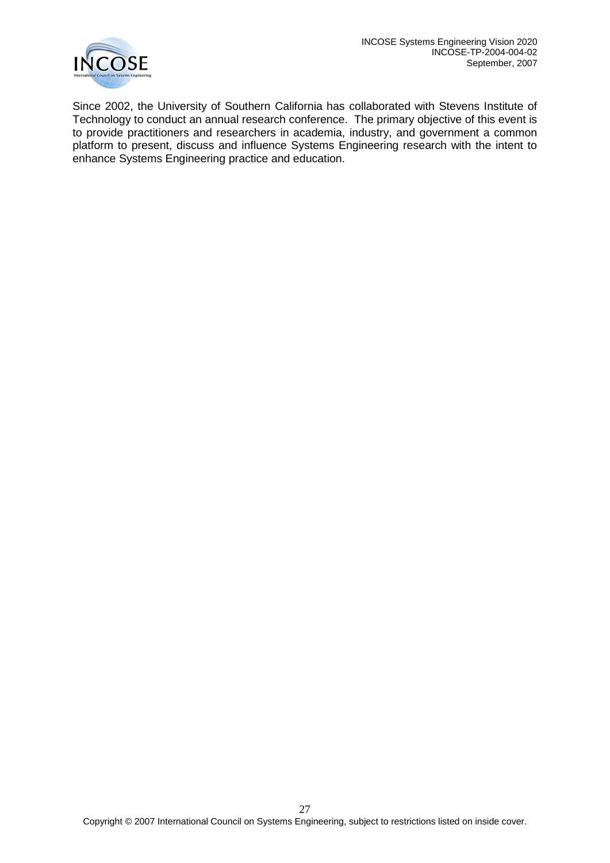Since 2002, the University of Southern California has collaborated with Stevens Institute of Technology to conduct an annual research conference. The primary objective of this event is to provide practitioners and researchers in academia, industry, and government a common platform to present, discuss and influence Systems Engineering research with the intent to enhance Systems Engineering practice and education.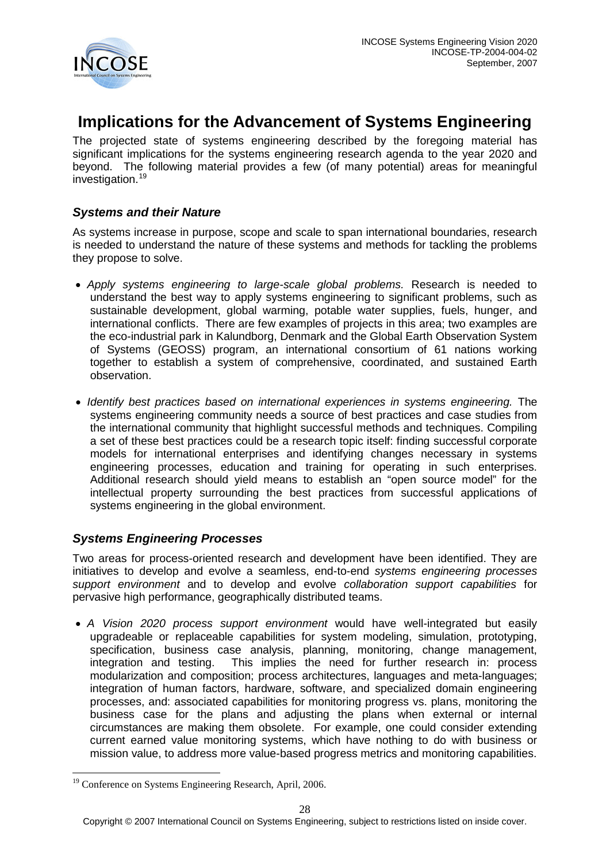

# <span id="page-27-0"></span>**Implications for the Advancement of Systems Engineering**

The projected state of systems engineering described by the foregoing material has significant implications for the systems engineering research agenda to the year 2020 and beyond. The following material provides a few (of many potential) areas for meaningful investigation.<sup>[19](#page-27-3)</sup>

### <span id="page-27-1"></span>*Systems and their Nature*

As systems increase in purpose, scope and scale to span international boundaries, research is needed to understand the nature of these systems and methods for tackling the problems they propose to solve.

- *Apply systems engineering to large-scale global problems.* Research is needed to understand the best way to apply systems engineering to significant problems, such as sustainable development, global warming, potable water supplies, fuels, hunger, and international conflicts. There are few examples of projects in this area; two examples are the eco-industrial park in Kalundborg, Denmark and the Global Earth Observation System of Systems (GEOSS) program, an international consortium of 61 nations working together to establish a system of comprehensive, coordinated, and sustained Earth observation.
- *Identify best practices based on international experiences in systems engineering.* The systems engineering community needs a source of best practices and case studies from the international community that highlight successful methods and techniques. Compiling a set of these best practices could be a research topic itself: finding successful corporate models for international enterprises and identifying changes necessary in systems engineering processes, education and training for operating in such enterprises. Additional research should yield means to establish an "open source model" for the intellectual property surrounding the best practices from successful applications of systems engineering in the global environment.

# <span id="page-27-2"></span>*Systems Engineering Processes*

Two areas for process-oriented research and development have been identified. They are initiatives to develop and evolve a seamless, end-to-end *systems engineering processes support environment* and to develop and evolve *collaboration support capabilities* for pervasive high performance, geographically distributed teams.

• *A Vision 2020 process support environment* would have well-integrated but easily upgradeable or replaceable capabilities for system modeling, simulation, prototyping, specification, business case analysis, planning, monitoring, change management, integration and testing. This implies the need for further research in: process modularization and composition; process architectures, languages and meta-languages; integration of human factors, hardware, software, and specialized domain engineering processes, and: associated capabilities for monitoring progress vs. plans, monitoring the business case for the plans and adjusting the plans when external or internal circumstances are making them obsolete. For example, one could consider extending current earned value monitoring systems, which have nothing to do with business or mission value, to address more value-based progress metrics and monitoring capabilities.

<span id="page-27-3"></span><sup>&</sup>lt;sup>19</sup> Conference on Systems Engineering Research, April, 2006.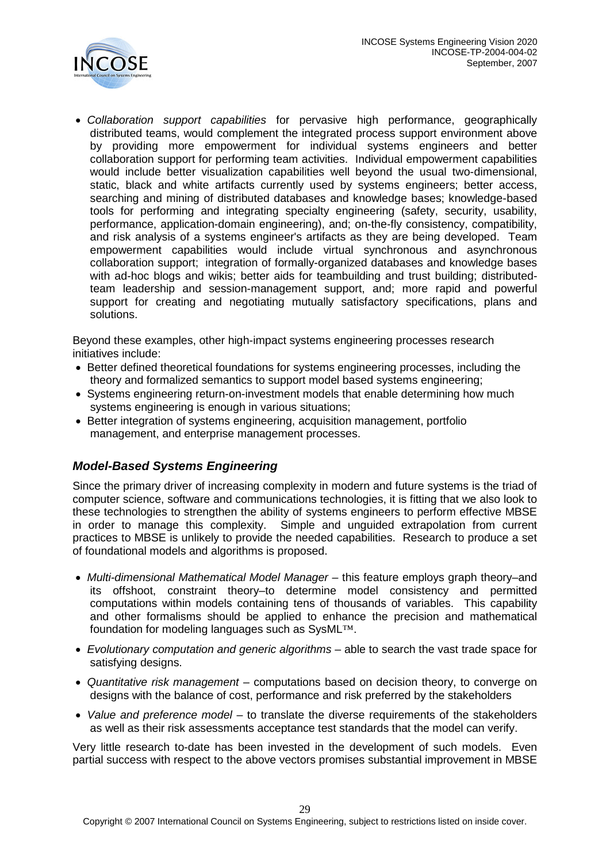

• *Collaboration support capabilities* for pervasive high performance, geographically distributed teams, would complement the integrated process support environment above by providing more empowerment for individual systems engineers and better collaboration support for performing team activities. Individual empowerment capabilities would include better visualization capabilities well beyond the usual two-dimensional, static, black and white artifacts currently used by systems engineers; better access, searching and mining of distributed databases and knowledge bases; knowledge-based tools for performing and integrating specialty engineering (safety, security, usability, performance, application-domain engineering), and; on-the-fly consistency, compatibility, and risk analysis of a systems engineer's artifacts as they are being developed. Team empowerment capabilities would include virtual synchronous and asynchronous collaboration support; integration of formally-organized databases and knowledge bases with ad-hoc blogs and wikis; better aids for teambuilding and trust building; distributedteam leadership and session-management support, and; more rapid and powerful support for creating and negotiating mutually satisfactory specifications, plans and solutions.

Beyond these examples, other high-impact systems engineering processes research initiatives include:

- Better defined theoretical foundations for systems engineering processes, including the theory and formalized semantics to support model based systems engineering;
- Systems engineering return-on-investment models that enable determining how much systems engineering is enough in various situations;
- Better integration of systems engineering, acquisition management, portfolio management, and enterprise management processes.

# <span id="page-28-0"></span>*Model-Based Systems Engineering*

Since the primary driver of increasing complexity in modern and future systems is the triad of computer science, software and communications technologies, it is fitting that we also look to these technologies to strengthen the ability of systems engineers to perform effective MBSE in order to manage this complexity. Simple and unguided extrapolation from current practices to MBSE is unlikely to provide the needed capabilities. Research to produce a set of foundational models and algorithms is proposed.

- *Multi-dimensional Mathematical Model Manager –* this feature employs graph theory–and its offshoot, constraint theory–to determine model consistency and permitted computations within models containing tens of thousands of variables. This capability and other formalisms should be applied to enhance the precision and mathematical foundation for modeling languages such as SysML™.
- *Evolutionary computation and generic algorithms* able to search the vast trade space for satisfying designs.
- *Quantitative risk management* computations based on decision theory, to converge on designs with the balance of cost, performance and risk preferred by the stakeholders
- *Value and preference model* to translate the diverse requirements of the stakeholders as well as their risk assessments acceptance test standards that the model can verify.

Very little research to-date has been invested in the development of such models. Even partial success with respect to the above vectors promises substantial improvement in MBSE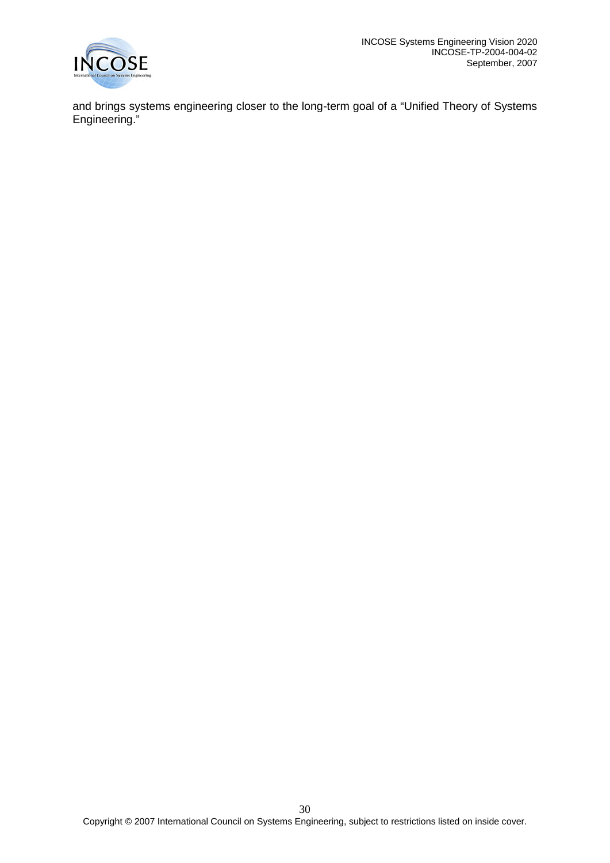

and brings systems engineering closer to the long-term goal of a "Unified Theory of Systems Engineering."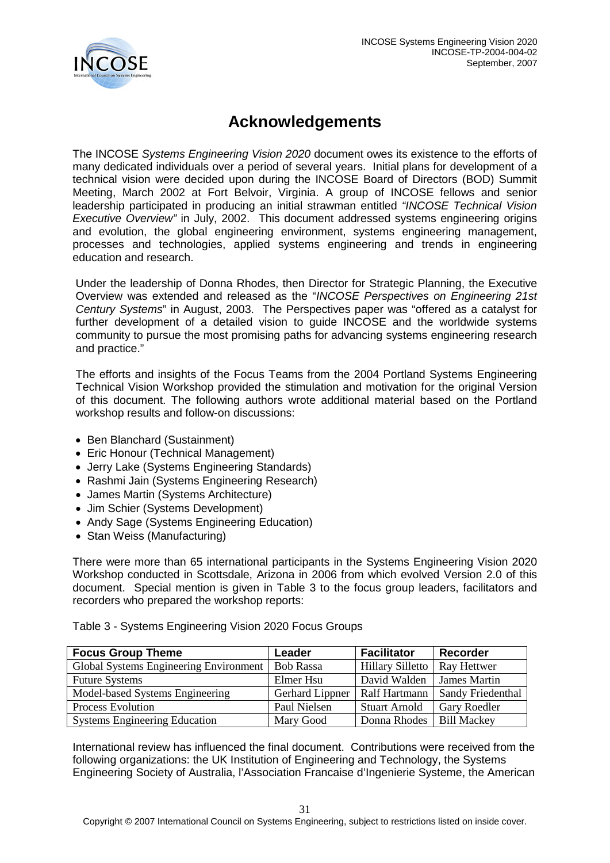

# **Acknowledgements**

<span id="page-30-0"></span>The INCOSE *Systems Engineering Vision 2020* document owes its existence to the efforts of many dedicated individuals over a period of several years. Initial plans for development of a technical vision were decided upon during the INCOSE Board of Directors (BOD) Summit Meeting, March 2002 at Fort Belvoir, Virginia. A group of INCOSE fellows and senior leadership participated in producing an initial strawman entitled *"INCOSE Technical Vision Executive Overview"* in July, 2002. This document addressed systems engineering origins and evolution, the global engineering environment, systems engineering management, processes and technologies, applied systems engineering and trends in engineering education and research.

Under the leadership of Donna Rhodes, then Director for Strategic Planning, the Executive Overview was extended and released as the "*INCOSE Perspectives on Engineering 21st Century Systems*" in August, 2003. The Perspectives paper was "offered as a catalyst for further development of a detailed vision to guide INCOSE and the worldwide systems community to pursue the most promising paths for advancing systems engineering research and practice."

The efforts and insights of the Focus Teams from the 2004 Portland Systems Engineering Technical Vision Workshop provided the stimulation and motivation for the original Version of this document. The following authors wrote additional material based on the Portland workshop results and follow-on discussions:

- Ben Blanchard (Sustainment)
- Eric Honour (Technical Management)
- Jerry Lake (Systems Engineering Standards)
- Rashmi Jain (Systems Engineering Research)
- James Martin (Systems Architecture)
- Jim Schier (Systems Development)
- Andy Sage (Systems Engineering Education)
- Stan Weiss (Manufacturing)

There were more than 65 international participants in the Systems Engineering Vision 2020 Workshop conducted in Scottsdale, Arizona in 2006 from which evolved Version 2.0 of this document. Special mention is given in Table 3 to the focus group leaders, facilitators and recorders who prepared the workshop reports:

Table 3 - Systems Engineering Vision 2020 Focus Groups

| <b>Focus Group Theme</b>               | Leader           | <b>Facilitator</b>      | <b>Recorder</b>     |
|----------------------------------------|------------------|-------------------------|---------------------|
| Global Systems Engineering Environment | <b>Bob Rassa</b> | <b>Hillary Silletto</b> | Ray Hettwer         |
| <b>Future Systems</b>                  | Elmer Hsu        | David Walden            | <b>James Martin</b> |
| Model-based Systems Engineering        | Gerhard Lippner  | Ralf Hartmann           | Sandy Friedenthal   |
| <b>Process Evolution</b>               | Paul Nielsen     | <b>Stuart Arnold</b>    | <b>Gary Roedler</b> |
| <b>Systems Engineering Education</b>   | Mary Good        | Donna Rhodes            | <b>Bill Mackey</b>  |

International review has influenced the final document. Contributions were received from the following organizations: the UK Institution of Engineering and Technology, the Systems Engineering Society of Australia, l'Association Francaise d'Ingenierie Systeme, the American